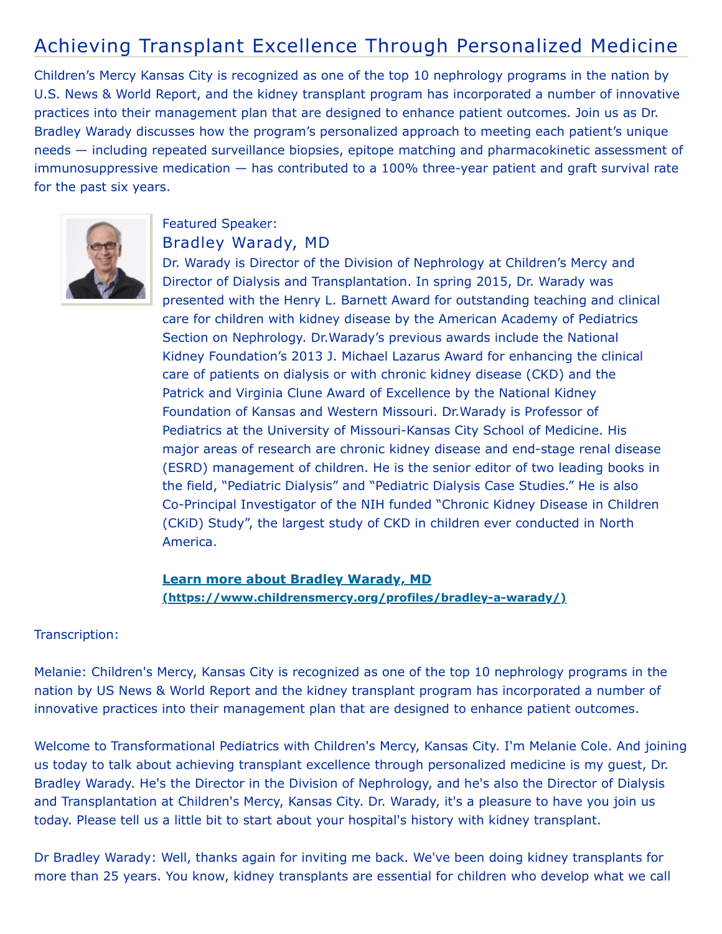## Achieving Transplant Excellence Through Personalized Medicine

Children's Mercy Kansas City is recognized as one of the top 10 nephrology programs in the nation by U.S. News & World Report, and the kidney transplant program has incorporated a number of innovative practices into their management plan that are designed to enhance patient outcomes. Join us as Dr. Bradley Warady discusses how the program's personalized approach to meeting each patient's unique needs — including repeated surveillance biopsies, epitope matching and pharmacokinetic assessment of immunosuppressive medication — has contributed to a 100% three-year patient and graft survival rate for the past six years.



## Featured Speaker: Bradley Warady, MD

Dr. Warady is Director of the Division of Nephrology at Children's Mercy and Director of Dialysis and Transplantation. In spring 2015, Dr. Warady was presented with the Henry L. Barnett Award for outstanding teaching and clinical care for children with kidney disease by the American Academy of Pediatrics Section on Nephrology. Dr.Warady's previous awards include the National Kidney Foundation's 2013 J. Michael Lazarus Award for enhancing the clinical care of patients on dialysis or with chronic kidney disease (CKD) and the Patrick and Virginia Clune Award of Excellence by the National Kidney Foundation of Kansas and Western Missouri. Dr.Warady is Professor of Pediatrics at the University of Missouri-Kansas City School of Medicine. His major areas of research are chronic kidney disease and end-stage renal disease (ESRD) management of children. He is the senior editor of two leading books in the field, "Pediatric Dialysis" and "Pediatric Dialysis Case Studies." He is also Co-Principal Investigator of the NIH funded "Chronic Kidney Disease in Children (CKiD) Study", the largest study of CKD in children ever conducted in North America.

## **Learn more about Bradley Warady, MD [\(https://www.childrensmercy.org/profiles/bradley-a-warady/\)](https://www.childrensmercy.org/profiles/bradley-a-warady/)**

## Transcription:

Melanie: Children's Mercy, Kansas City is recognized as one of the top 10 nephrology programs in the nation by US News & World Report and the kidney transplant program has incorporated a number of innovative practices into their management plan that are designed to enhance patient outcomes.

Welcome to Transformational Pediatrics with Children's Mercy, Kansas City. I'm Melanie Cole. And joining us today to talk about achieving transplant excellence through personalized medicine is my guest, Dr. Bradley Warady. He's the Director in the Division of Nephrology, and he's also the Director of Dialysis and Transplantation at Children's Mercy, Kansas City. Dr. Warady, it's a pleasure to have you join us today. Please tell us a little bit to start about your hospital's history with kidney transplant.

Dr Bradley Warady: Well, thanks again for inviting me back. We've been doing kidney transplants for more than 25 years. You know, kidney transplants are essential for children who develop what we call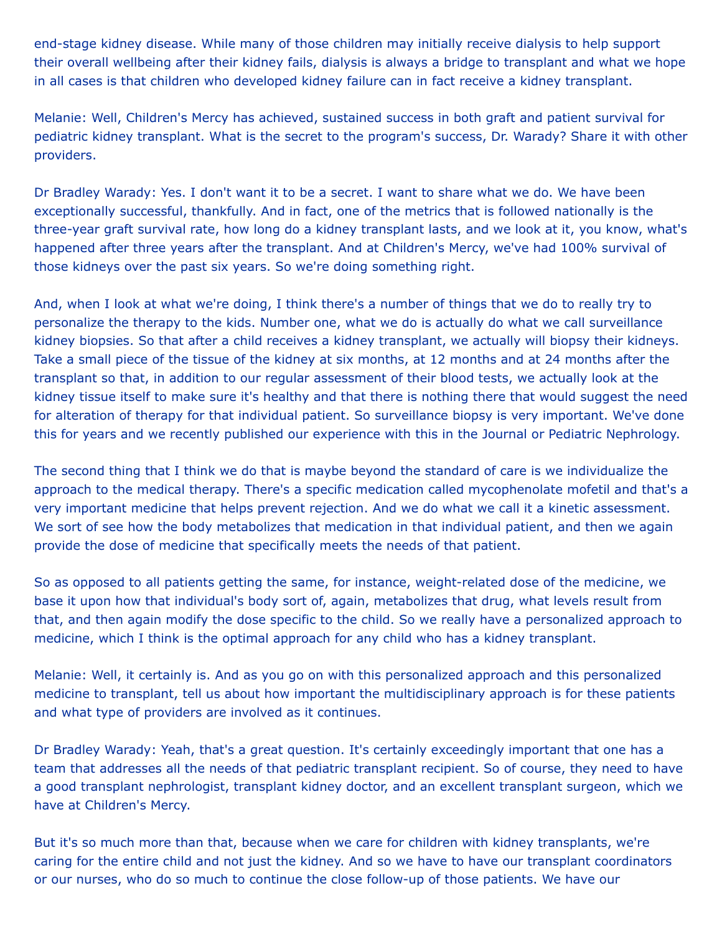end-stage kidney disease. While many of those children may initially receive dialysis to help support their overall wellbeing after their kidney fails, dialysis is always a bridge to transplant and what we hope in all cases is that children who developed kidney failure can in fact receive a kidney transplant.

Melanie: Well, Children's Mercy has achieved, sustained success in both graft and patient survival for pediatric kidney transplant. What is the secret to the program's success, Dr. Warady? Share it with other providers.

Dr Bradley Warady: Yes. I don't want it to be a secret. I want to share what we do. We have been exceptionally successful, thankfully. And in fact, one of the metrics that is followed nationally is the three-year graft survival rate, how long do a kidney transplant lasts, and we look at it, you know, what's happened after three years after the transplant. And at Children's Mercy, we've had 100% survival of those kidneys over the past six years. So we're doing something right.

And, when I look at what we're doing, I think there's a number of things that we do to really try to personalize the therapy to the kids. Number one, what we do is actually do what we call surveillance kidney biopsies. So that after a child receives a kidney transplant, we actually will biopsy their kidneys. Take a small piece of the tissue of the kidney at six months, at 12 months and at 24 months after the transplant so that, in addition to our regular assessment of their blood tests, we actually look at the kidney tissue itself to make sure it's healthy and that there is nothing there that would suggest the need for alteration of therapy for that individual patient. So surveillance biopsy is very important. We've done this for years and we recently published our experience with this in the Journal or Pediatric Nephrology.

The second thing that I think we do that is maybe beyond the standard of care is we individualize the approach to the medical therapy. There's a specific medication called mycophenolate mofetil and that's a very important medicine that helps prevent rejection. And we do what we call it a kinetic assessment. We sort of see how the body metabolizes that medication in that individual patient, and then we again provide the dose of medicine that specifically meets the needs of that patient.

So as opposed to all patients getting the same, for instance, weight-related dose of the medicine, we base it upon how that individual's body sort of, again, metabolizes that drug, what levels result from that, and then again modify the dose specific to the child. So we really have a personalized approach to medicine, which I think is the optimal approach for any child who has a kidney transplant.

Melanie: Well, it certainly is. And as you go on with this personalized approach and this personalized medicine to transplant, tell us about how important the multidisciplinary approach is for these patients and what type of providers are involved as it continues.

Dr Bradley Warady: Yeah, that's a great question. It's certainly exceedingly important that one has a team that addresses all the needs of that pediatric transplant recipient. So of course, they need to have a good transplant nephrologist, transplant kidney doctor, and an excellent transplant surgeon, which we have at Children's Mercy.

But it's so much more than that, because when we care for children with kidney transplants, we're caring for the entire child and not just the kidney. And so we have to have our transplant coordinators or our nurses, who do so much to continue the close follow-up of those patients. We have our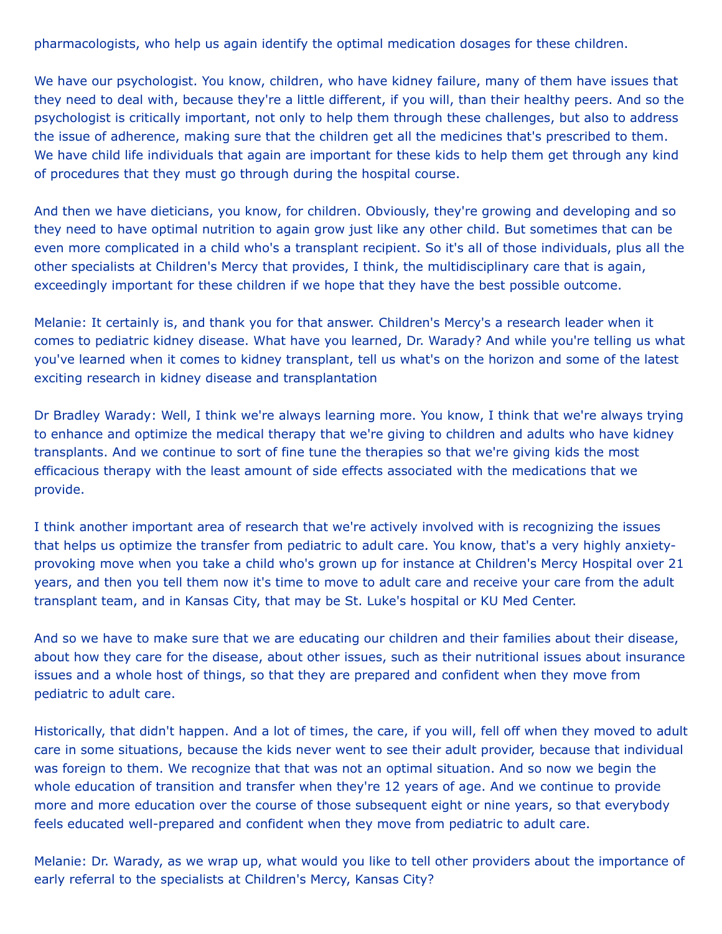pharmacologists, who help us again identify the optimal medication dosages for these children.

We have our psychologist. You know, children, who have kidney failure, many of them have issues that they need to deal with, because they're a little different, if you will, than their healthy peers. And so the psychologist is critically important, not only to help them through these challenges, but also to address the issue of adherence, making sure that the children get all the medicines that's prescribed to them. We have child life individuals that again are important for these kids to help them get through any kind of procedures that they must go through during the hospital course.

And then we have dieticians, you know, for children. Obviously, they're growing and developing and so they need to have optimal nutrition to again grow just like any other child. But sometimes that can be even more complicated in a child who's a transplant recipient. So it's all of those individuals, plus all the other specialists at Children's Mercy that provides, I think, the multidisciplinary care that is again, exceedingly important for these children if we hope that they have the best possible outcome.

Melanie: It certainly is, and thank you for that answer. Children's Mercy's a research leader when it comes to pediatric kidney disease. What have you learned, Dr. Warady? And while you're telling us what you've learned when it comes to kidney transplant, tell us what's on the horizon and some of the latest exciting research in kidney disease and transplantation

Dr Bradley Warady: Well, I think we're always learning more. You know, I think that we're always trying to enhance and optimize the medical therapy that we're giving to children and adults who have kidney transplants. And we continue to sort of fine tune the therapies so that we're giving kids the most efficacious therapy with the least amount of side effects associated with the medications that we provide.

I think another important area of research that we're actively involved with is recognizing the issues that helps us optimize the transfer from pediatric to adult care. You know, that's a very highly anxietyprovoking move when you take a child who's grown up for instance at Children's Mercy Hospital over 21 years, and then you tell them now it's time to move to adult care and receive your care from the adult transplant team, and in Kansas City, that may be St. Luke's hospital or KU Med Center.

And so we have to make sure that we are educating our children and their families about their disease, about how they care for the disease, about other issues, such as their nutritional issues about insurance issues and a whole host of things, so that they are prepared and confident when they move from pediatric to adult care.

Historically, that didn't happen. And a lot of times, the care, if you will, fell off when they moved to adult care in some situations, because the kids never went to see their adult provider, because that individual was foreign to them. We recognize that that was not an optimal situation. And so now we begin the whole education of transition and transfer when they're 12 years of age. And we continue to provide more and more education over the course of those subsequent eight or nine years, so that everybody feels educated well-prepared and confident when they move from pediatric to adult care.

Melanie: Dr. Warady, as we wrap up, what would you like to tell other providers about the importance of early referral to the specialists at Children's Mercy, Kansas City?